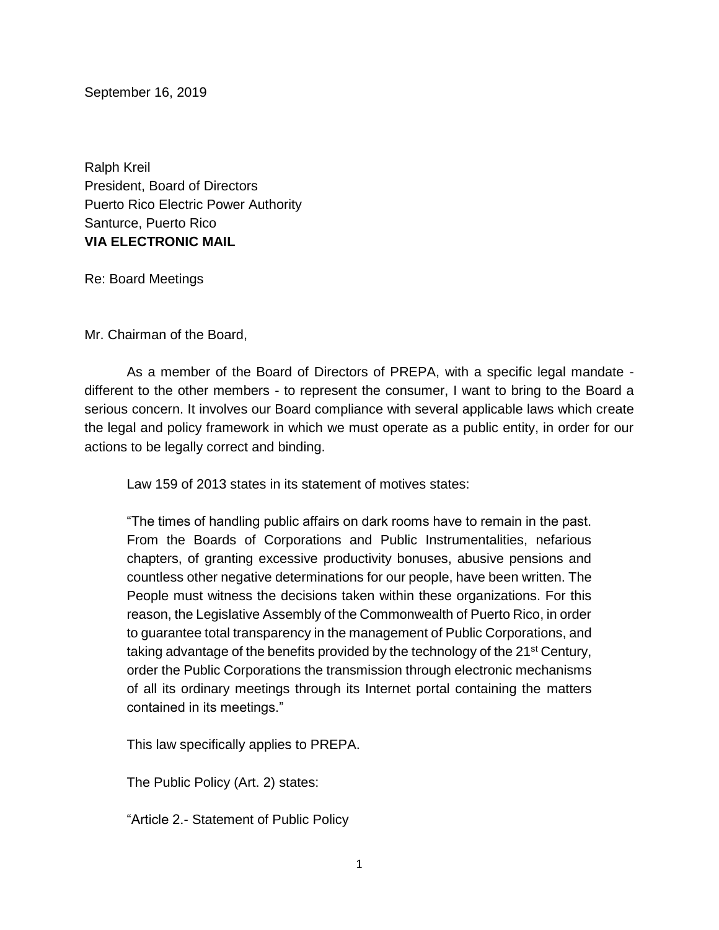September 16, 2019

Ralph Kreil President, Board of Directors Puerto Rico Electric Power Authority Santurce, Puerto Rico **VIA ELECTRONIC MAIL**

Re: Board Meetings

Mr. Chairman of the Board,

As a member of the Board of Directors of PREPA, with a specific legal mandate different to the other members - to represent the consumer, I want to bring to the Board a serious concern. It involves our Board compliance with several applicable laws which create the legal and policy framework in which we must operate as a public entity, in order for our actions to be legally correct and binding.

Law 159 of 2013 states in its statement of motives states:

"The times of handling public affairs on dark rooms have to remain in the past. From the Boards of Corporations and Public Instrumentalities, nefarious chapters, of granting excessive productivity bonuses, abusive pensions and countless other negative determinations for our people, have been written. The People must witness the decisions taken within these organizations. For this reason, the Legislative Assembly of the Commonwealth of Puerto Rico, in order to guarantee total transparency in the management of Public Corporations, and taking advantage of the benefits provided by the technology of the 21<sup>st</sup> Century, order the Public Corporations the transmission through electronic mechanisms of all its ordinary meetings through its Internet portal containing the matters contained in its meetings."

This law specifically applies to PREPA.

The Public Policy (Art. 2) states:

"Article 2.- Statement of Public Policy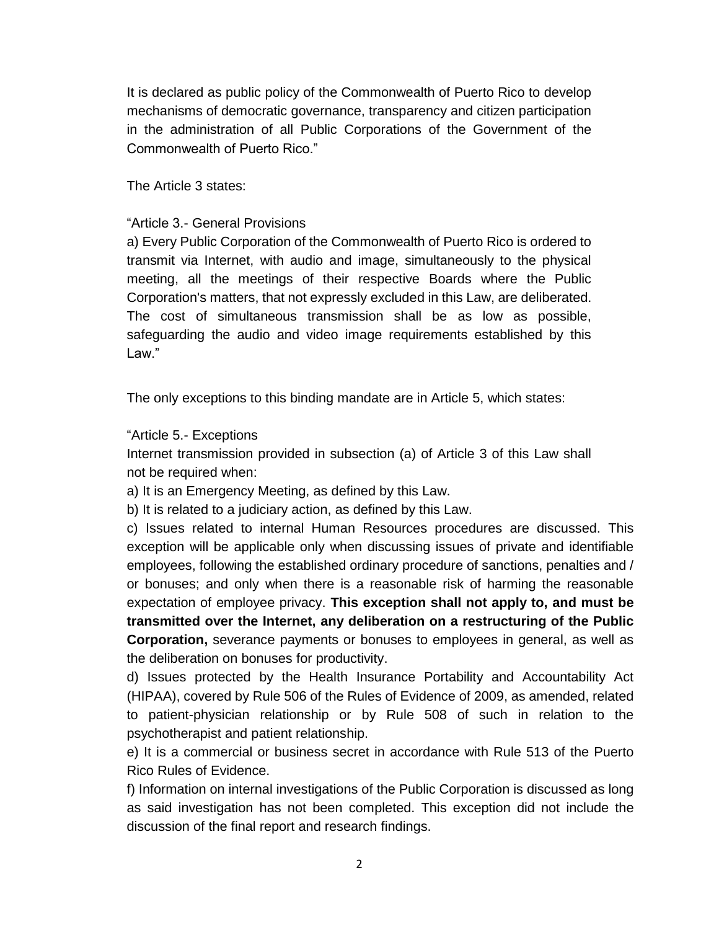It is declared as public policy of the Commonwealth of Puerto Rico to develop mechanisms of democratic governance, transparency and citizen participation in the administration of all Public Corporations of the Government of the Commonwealth of Puerto Rico."

The Article 3 states:

## "Article 3.- General Provisions

a) Every Public Corporation of the Commonwealth of Puerto Rico is ordered to transmit via Internet, with audio and image, simultaneously to the physical meeting, all the meetings of their respective Boards where the Public Corporation's matters, that not expressly excluded in this Law, are deliberated. The cost of simultaneous transmission shall be as low as possible, safeguarding the audio and video image requirements established by this Law."

The only exceptions to this binding mandate are in Article 5, which states:

# "Article 5.- Exceptions

Internet transmission provided in subsection (a) of Article 3 of this Law shall not be required when:

a) It is an Emergency Meeting, as defined by this Law.

b) It is related to a judiciary action, as defined by this Law.

c) Issues related to internal Human Resources procedures are discussed. This exception will be applicable only when discussing issues of private and identifiable employees, following the established ordinary procedure of sanctions, penalties and / or bonuses; and only when there is a reasonable risk of harming the reasonable expectation of employee privacy. **This exception shall not apply to, and must be transmitted over the Internet, any deliberation on a restructuring of the Public Corporation,** severance payments or bonuses to employees in general, as well as the deliberation on bonuses for productivity.

d) Issues protected by the Health Insurance Portability and Accountability Act (HIPAA), covered by Rule 506 of the Rules of Evidence of 2009, as amended, related to patient-physician relationship or by Rule 508 of such in relation to the psychotherapist and patient relationship.

e) It is a commercial or business secret in accordance with Rule 513 of the Puerto Rico Rules of Evidence.

f) Information on internal investigations of the Public Corporation is discussed as long as said investigation has not been completed. This exception did not include the discussion of the final report and research findings.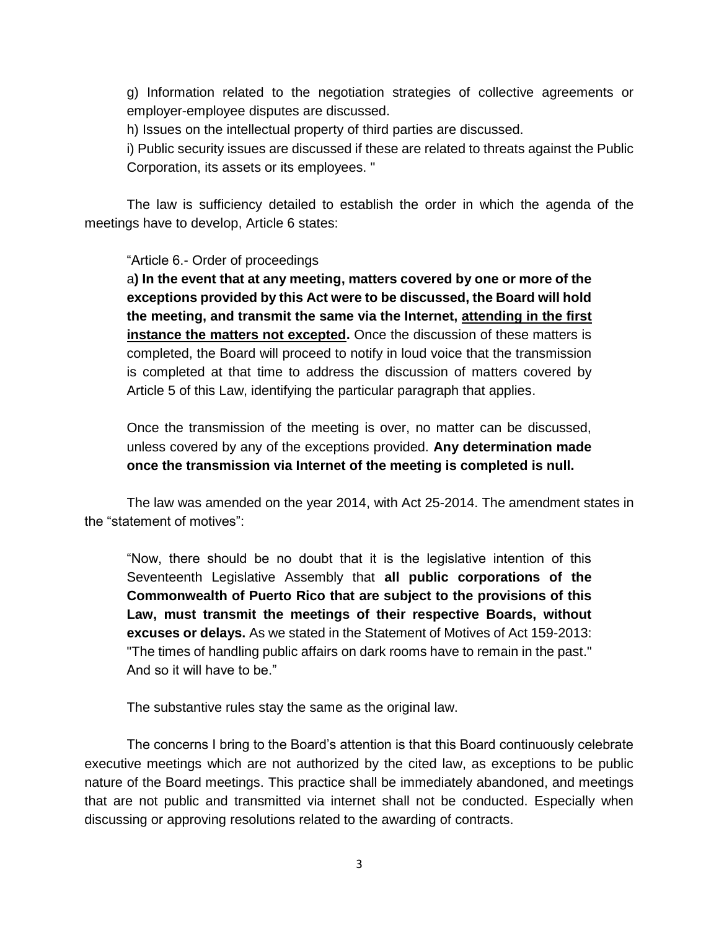g) Information related to the negotiation strategies of collective agreements or employer-employee disputes are discussed.

h) Issues on the intellectual property of third parties are discussed.

i) Public security issues are discussed if these are related to threats against the Public Corporation, its assets or its employees. "

The law is sufficiency detailed to establish the order in which the agenda of the meetings have to develop, Article 6 states:

## "Article 6.- Order of proceedings

a**) In the event that at any meeting, matters covered by one or more of the exceptions provided by this Act were to be discussed, the Board will hold the meeting, and transmit the same via the Internet, attending in the first instance the matters not excepted.** Once the discussion of these matters is completed, the Board will proceed to notify in loud voice that the transmission is completed at that time to address the discussion of matters covered by Article 5 of this Law, identifying the particular paragraph that applies.

Once the transmission of the meeting is over, no matter can be discussed, unless covered by any of the exceptions provided. **Any determination made once the transmission via Internet of the meeting is completed is null.**

The law was amended on the year 2014, with Act 25-2014. The amendment states in the "statement of motives":

"Now, there should be no doubt that it is the legislative intention of this Seventeenth Legislative Assembly that **all public corporations of the Commonwealth of Puerto Rico that are subject to the provisions of this Law, must transmit the meetings of their respective Boards, without excuses or delays.** As we stated in the Statement of Motives of Act 159-2013: "The times of handling public affairs on dark rooms have to remain in the past." And so it will have to be."

The substantive rules stay the same as the original law.

The concerns I bring to the Board's attention is that this Board continuously celebrate executive meetings which are not authorized by the cited law, as exceptions to be public nature of the Board meetings. This practice shall be immediately abandoned, and meetings that are not public and transmitted via internet shall not be conducted. Especially when discussing or approving resolutions related to the awarding of contracts.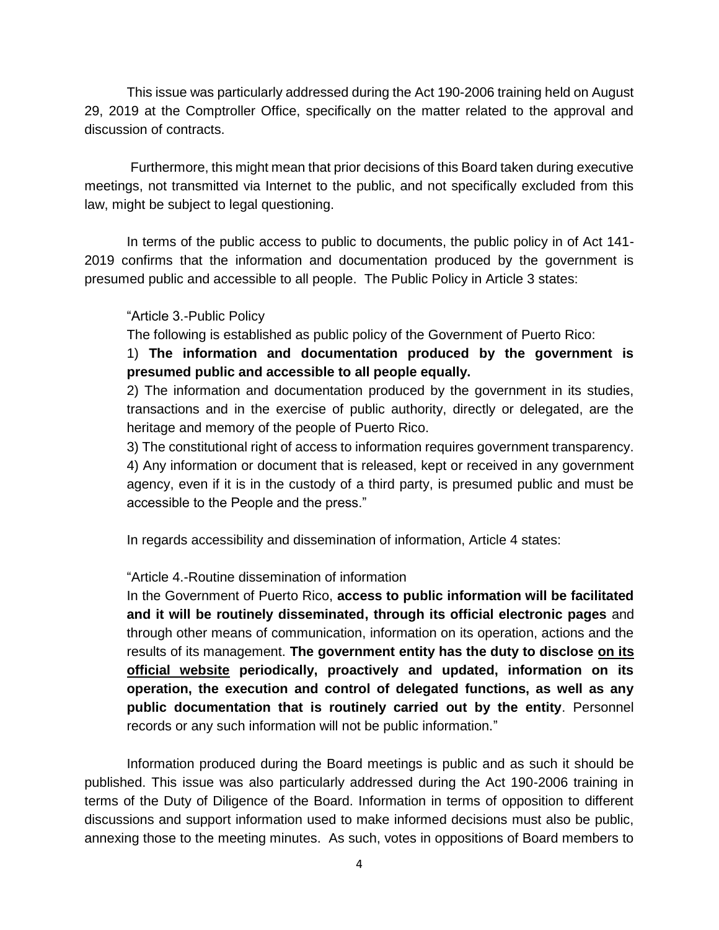This issue was particularly addressed during the Act 190-2006 training held on August 29, 2019 at the Comptroller Office, specifically on the matter related to the approval and discussion of contracts.

Furthermore, this might mean that prior decisions of this Board taken during executive meetings, not transmitted via Internet to the public, and not specifically excluded from this law, might be subject to legal questioning.

In terms of the public access to public to documents, the public policy in of Act 141- 2019 confirms that the information and documentation produced by the government is presumed public and accessible to all people. The Public Policy in Article 3 states:

#### "Article 3.-Public Policy

The following is established as public policy of the Government of Puerto Rico:

1) **The information and documentation produced by the government is presumed public and accessible to all people equally.**

2) The information and documentation produced by the government in its studies, transactions and in the exercise of public authority, directly or delegated, are the heritage and memory of the people of Puerto Rico.

3) The constitutional right of access to information requires government transparency. 4) Any information or document that is released, kept or received in any government agency, even if it is in the custody of a third party, is presumed public and must be accessible to the People and the press."

In regards accessibility and dissemination of information, Article 4 states:

#### "Article 4.-Routine dissemination of information

In the Government of Puerto Rico, **access to public information will be facilitated and it will be routinely disseminated, through its official electronic pages** and through other means of communication, information on its operation, actions and the results of its management. **The government entity has the duty to disclose on its official website periodically, proactively and updated, information on its operation, the execution and control of delegated functions, as well as any public documentation that is routinely carried out by the entity**. Personnel records or any such information will not be public information."

Information produced during the Board meetings is public and as such it should be published. This issue was also particularly addressed during the Act 190-2006 training in terms of the Duty of Diligence of the Board. Information in terms of opposition to different discussions and support information used to make informed decisions must also be public, annexing those to the meeting minutes. As such, votes in oppositions of Board members to